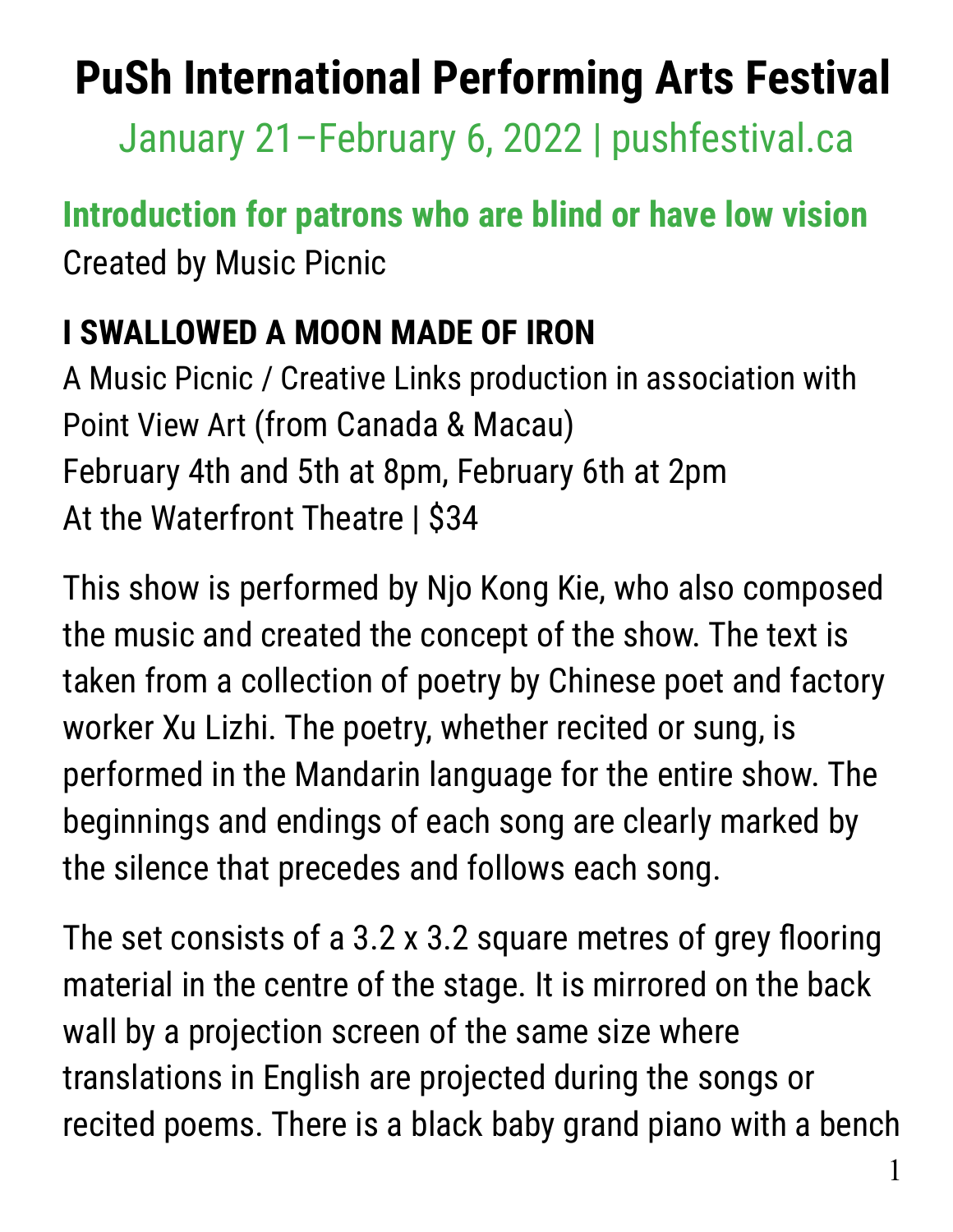## **PuSh International Performing Arts Festival**

January 21–February 6, 2022 | pushfestival.ca

## **Introduction for patrons who are blind or have low vision** Created by Music Picnic

## **I SWALLOWED A MOON MADE OF IRON**

A Music Picnic / Creative Links production in association with Point View Art (from Canada & Macau) February 4th and 5th at 8pm, February 6th at 2pm At the Waterfront Theatre | \$34

This show is performed by Njo Kong Kie, who also composed the music and created the concept of the show. The text is taken from a collection of poetry by Chinese poet and factory worker Xu Lizhi. The poetry, whether recited or sung, is performed in the Mandarin language for the entire show. The beginnings and endings of each song are clearly marked by the silence that precedes and follows each song.

The set consists of a 3.2 x 3.2 square metres of grey flooring material in the centre of the stage. It is mirrored on the back wall by a projection screen of the same size where translations in English are projected during the songs or recited poems. There is a black baby grand piano with a bench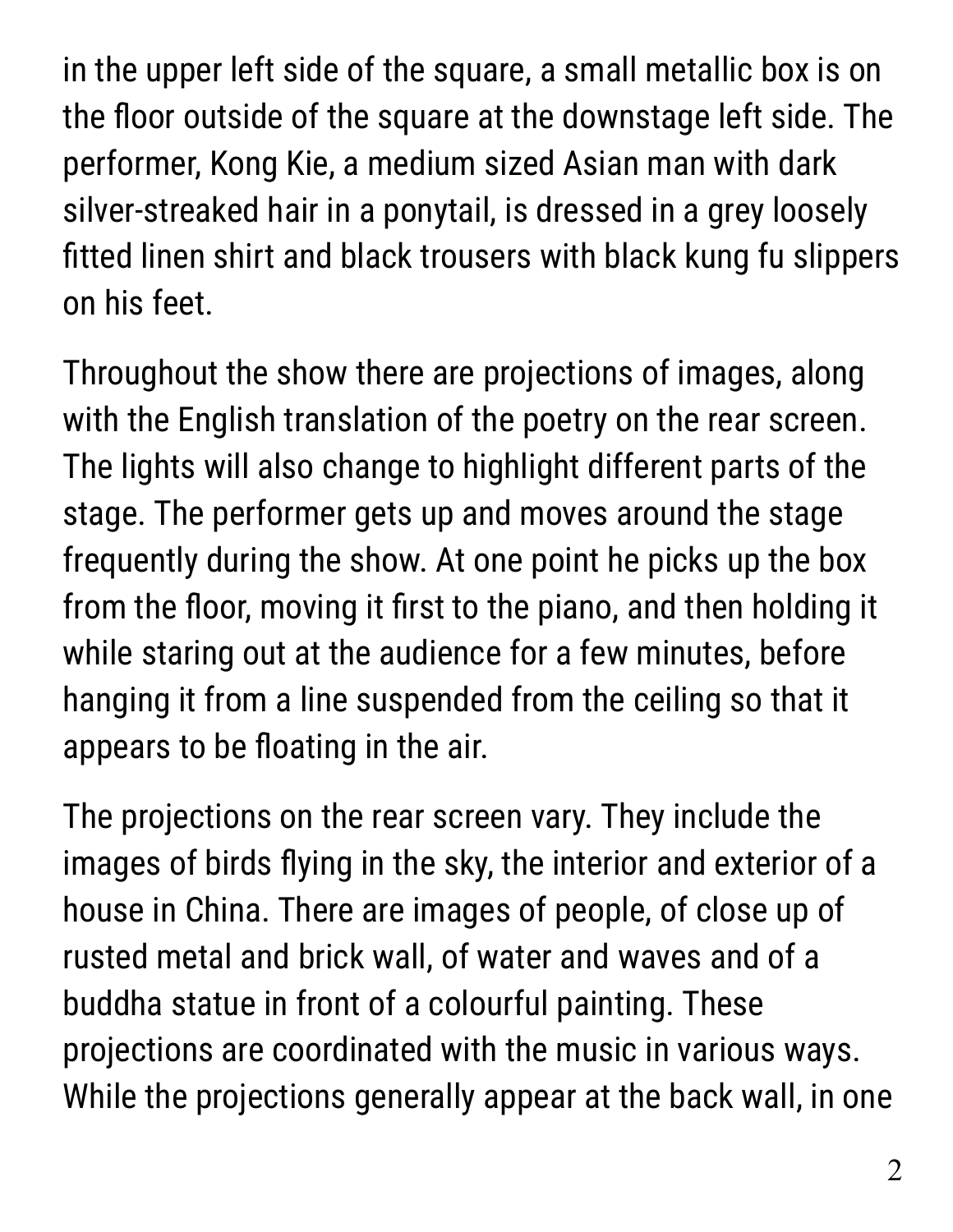in the upper left side of the square, a small metallic box is on the floor outside of the square at the downstage left side. The performer, Kong Kie, a medium sized Asian man with dark silver-streaked hair in a ponytail, is dressed in a grey loosely fitted linen shirt and black trousers with black kung fu slippers on his feet.

Throughout the show there are projections of images, along with the English translation of the poetry on the rear screen. The lights will also change to highlight different parts of the stage. The performer gets up and moves around the stage frequently during the show. At one point he picks up the box from the floor, moving it first to the piano, and then holding it while staring out at the audience for a few minutes, before hanging it from a line suspended from the ceiling so that it appears to be floating in the air.

The projections on the rear screen vary. They include the images of birds flying in the sky, the interior and exterior of a house in China. There are images of people, of close up of rusted metal and brick wall, of water and waves and of a buddha statue in front of a colourful painting. These projections are coordinated with the music in various ways. While the projections generally appear at the back wall, in one